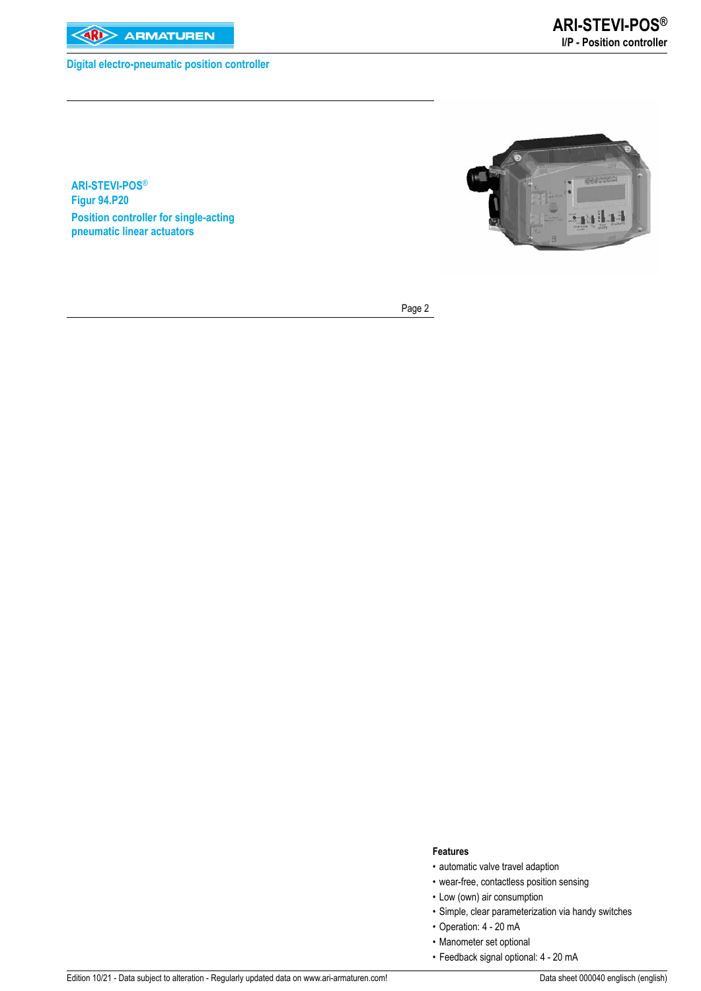

**Digital electro-pneumatic position controller**

**ARI-STEVI-POS**® **Figur 94.P20 Position controller for single-acting pneumatic linear actuators**



Page 2

### **Features**

- automatic valve travel adaption
- wear-free, contactless position sensing
- Low (own) air consumption
- Simple, clear parameterization via handy switches
- Operation: 4 20 mA
- Manometer set optional
- Feedback signal optional: 4 20 mA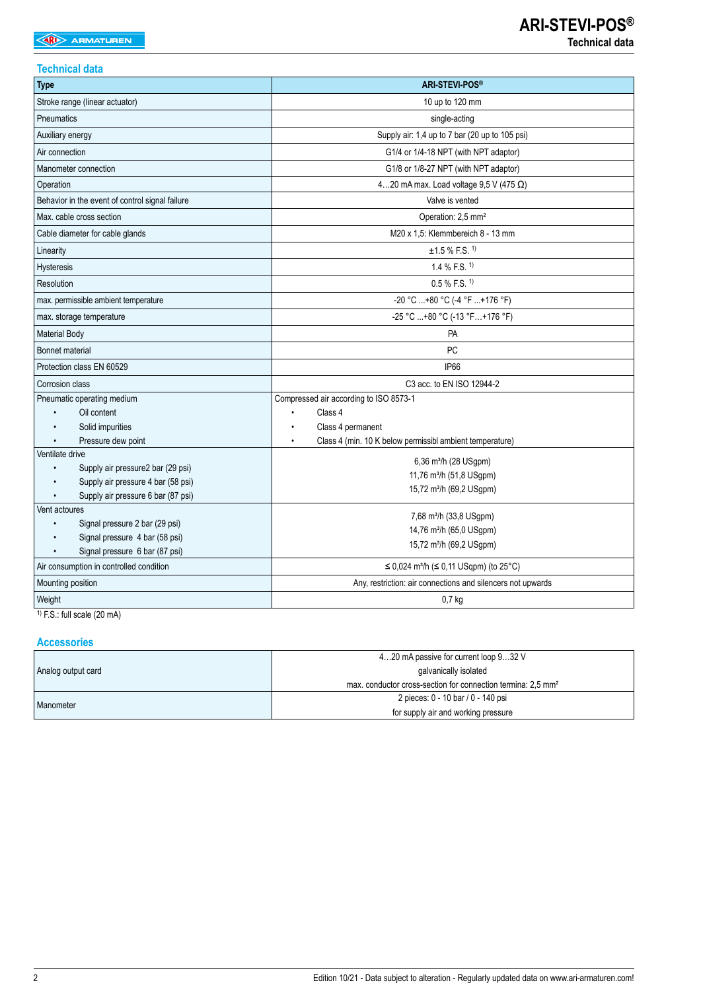## **Technical data**

| <b>Type</b>                                     | <b>ARI-STEVI-POS®</b>                                       |  |  |  |  |  |
|-------------------------------------------------|-------------------------------------------------------------|--|--|--|--|--|
| Stroke range (linear actuator)                  | 10 up to 120 mm                                             |  |  |  |  |  |
| Pneumatics                                      | single-acting                                               |  |  |  |  |  |
| Auxiliary energy                                | Supply air: 1,4 up to 7 bar (20 up to 105 psi)              |  |  |  |  |  |
| Air connection                                  | G1/4 or 1/4-18 NPT (with NPT adaptor)                       |  |  |  |  |  |
| Manometer connection                            | G1/8 or 1/8-27 NPT (with NPT adaptor)                       |  |  |  |  |  |
| Operation                                       | 420 mA max. Load voltage $9,5 \text{ V}$ (475 $\Omega$ )    |  |  |  |  |  |
| Behavior in the event of control signal failure | Valve is vented                                             |  |  |  |  |  |
| Max. cable cross section                        | Operation: 2,5 mm <sup>2</sup>                              |  |  |  |  |  |
| Cable diameter for cable glands                 | M20 x 1,5: Klemmbereich 8 - 13 mm                           |  |  |  |  |  |
| Linearity                                       | $±1.5\%$ F.S. <sup>1)</sup>                                 |  |  |  |  |  |
| Hysteresis                                      | 1.4 % F.S. $1$                                              |  |  |  |  |  |
| Resolution                                      | $0.5\%$ F.S. <sup>1)</sup>                                  |  |  |  |  |  |
| max. permissible ambient temperature            | -20 °C +80 °C (-4 °F +176 °F)                               |  |  |  |  |  |
| max. storage temperature                        | -25 °C +80 °C (-13 °F +176 °F)                              |  |  |  |  |  |
| <b>Material Body</b>                            | PA                                                          |  |  |  |  |  |
| <b>Bonnet material</b>                          | PC                                                          |  |  |  |  |  |
| Protection class EN 60529                       | <b>IP66</b>                                                 |  |  |  |  |  |
| Corrosion class                                 | C3 acc. to EN ISO 12944-2                                   |  |  |  |  |  |
| Pneumatic operating medium                      | Compressed air according to ISO 8573-1                      |  |  |  |  |  |
| Oil content                                     | Class 4                                                     |  |  |  |  |  |
| Solid impurities                                | Class 4 permanent                                           |  |  |  |  |  |
| Pressure dew point<br>Ventilate drive           | Class 4 (min. 10 K below permissibl ambient temperature)    |  |  |  |  |  |
| Supply air pressure2 bar (29 psi)<br>$\bullet$  | 6,36 m <sup>3</sup> /h (28 USgpm)                           |  |  |  |  |  |
| Supply air pressure 4 bar (58 psi)              | 11,76 m <sup>3</sup> /h (51,8 USgpm)                        |  |  |  |  |  |
| Supply air pressure 6 bar (87 psi)              | 15,72 m <sup>3</sup> /h (69,2 USgpm)                        |  |  |  |  |  |
| Vent actoures                                   |                                                             |  |  |  |  |  |
| Signal pressure 2 bar (29 psi)<br>$\bullet$     | 7,68 m <sup>3</sup> /h (33,8 USgpm)                         |  |  |  |  |  |
| Signal pressure 4 bar (58 psi)                  | 14,76 m <sup>3</sup> /h (65,0 USgpm)                        |  |  |  |  |  |
| Signal pressure 6 bar (87 psi)                  | 15,72 m <sup>3</sup> /h (69,2 USgpm)                        |  |  |  |  |  |
| Air consumption in controlled condition         | ≤ 0,024 m <sup>3</sup> /h (≤ 0,11 USqpm) (to 25°C)          |  |  |  |  |  |
| Mounting position                               | Any, restriction: air connections and silencers not upwards |  |  |  |  |  |
| Weight                                          | $0,7$ kg                                                    |  |  |  |  |  |

<sup>1)</sup> F.S.: full scale (20 mA)

## **Accessories**

|                    | 420 mA passive for current loop 932 V                                    |  |  |  |  |
|--------------------|--------------------------------------------------------------------------|--|--|--|--|
| Analog output card | galvanically isolated                                                    |  |  |  |  |
|                    | max. conductor cross-section for connection termina: 2.5 mm <sup>2</sup> |  |  |  |  |
|                    | 2 pieces: 0 - 10 bar / 0 - 140 psi                                       |  |  |  |  |
| Manometer          | for supply air and working pressure                                      |  |  |  |  |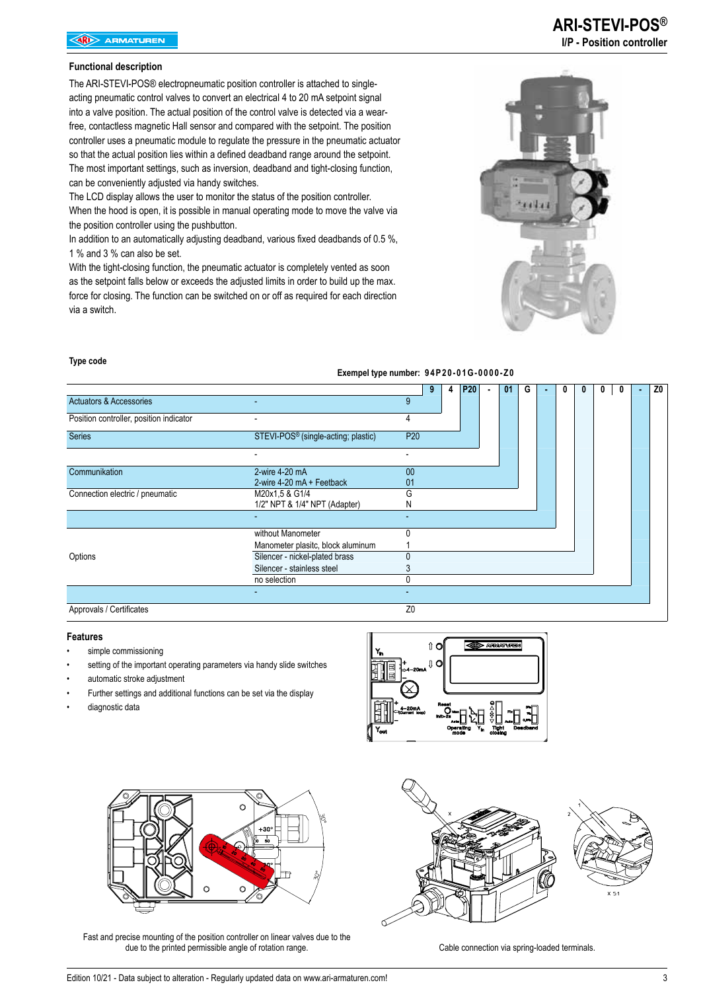### **Functional description**

The ARI-STEVI-POS® electropneumatic position controller is attached to singleacting pneumatic control valves to convert an electrical 4 to 20 mA setpoint signal into a valve position. The actual position of the control valve is detected via a wearfree, contactless magnetic Hall sensor and compared with the setpoint. The position controller uses a pneumatic module to regulate the pressure in the pneumatic actuator so that the actual position lies within a defined deadband range around the setpoint. The most important settings, such as inversion, deadband and tight-closing function, can be conveniently adjusted via handy switches.

The LCD display allows the user to monitor the status of the position controller. When the hood is open, it is possible in manual operating mode to move the valve via the position controller using the pushbutton.

In addition to an automatically adjusting deadband, various fixed deadbands of 0.5 %, 1 % and 3 % can also be set.

With the tight-closing function, the pneumatic actuator is completely vented as soon as the setpoint falls below or exceeds the adjusted limits in order to build up the max. force for closing. The function can be switched on or off as required for each direction via a switch.



#### **Type code**

#### **Exempel type number: 94P20-01G-0000-Z0**

|                                         |                                                 |                          | 9<br>4 | P <sub>20</sub> | 01 | G |  | 0 | 0 | $\sim$ | Z <sub>0</sub> |
|-----------------------------------------|-------------------------------------------------|--------------------------|--------|-----------------|----|---|--|---|---|--------|----------------|
| <b>Actuators &amp; Accessories</b>      | -                                               | 9                        |        |                 |    |   |  |   |   |        |                |
| Position controller, position indicator | ٠                                               | 4                        |        |                 |    |   |  |   |   |        |                |
| Series                                  | STEVI-POS <sup>®</sup> (single-acting; plastic) | P <sub>20</sub>          |        |                 |    |   |  |   |   |        |                |
|                                         |                                                 |                          |        |                 |    |   |  |   |   |        |                |
| Communikation                           | 2-wire 4-20 mA                                  | 00                       |        |                 |    |   |  |   |   |        |                |
|                                         | 2-wire 4-20 mA + Feetback                       | 01                       |        |                 |    |   |  |   |   |        |                |
| Connection electric / pneumatic         | M20x1,5 & G1/4                                  | G                        |        |                 |    |   |  |   |   |        |                |
|                                         | 1/2" NPT & 1/4" NPT (Adapter)                   | N                        |        |                 |    |   |  |   |   |        |                |
|                                         |                                                 |                          |        |                 |    |   |  |   |   |        |                |
|                                         | without Manometer                               | U                        |        |                 |    |   |  |   |   |        |                |
|                                         | Manometer plasitc, block aluminum               |                          |        |                 |    |   |  |   |   |        |                |
| Options                                 | Silencer - nickel-plated brass                  |                          |        |                 |    |   |  |   |   |        |                |
|                                         | Silencer - stainless steel                      |                          |        |                 |    |   |  |   |   |        |                |
|                                         | no selection                                    | 0                        |        |                 |    |   |  |   |   |        |                |
|                                         |                                                 | $\overline{\phantom{0}}$ |        |                 |    |   |  |   |   |        |                |
| Approvals / Certificates                |                                                 | Z <sub>0</sub>           |        |                 |    |   |  |   |   |        |                |

#### **Features**

- simple commissioning
- setting of the important operating parameters via handy slide switches
- automatic stroke adjustment
- Further settings and additional functions can be set via the display
- diagnostic data





Fast and precise mounting of the position controller on linear valves due to the due to the printed permissible angle of rotation range. The cable connection via spring-loaded terminals.

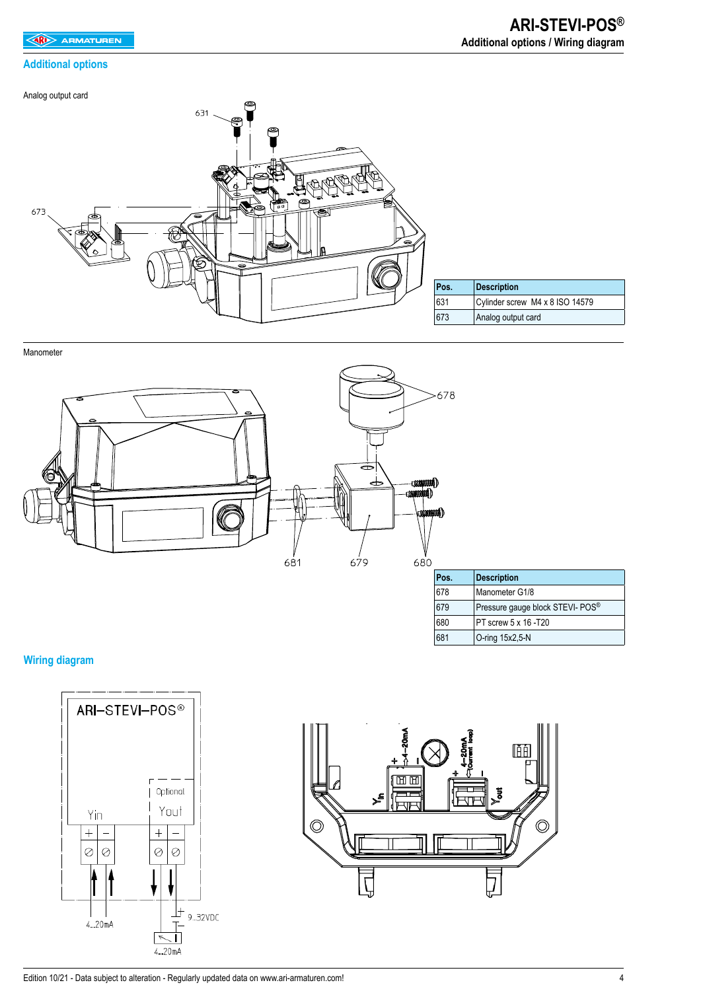## **Additional options**

Analog output card



Manometer



# **Wiring diagram**





680 PT screw 5 x 16 -T20 681 O-ring 15x2,5-N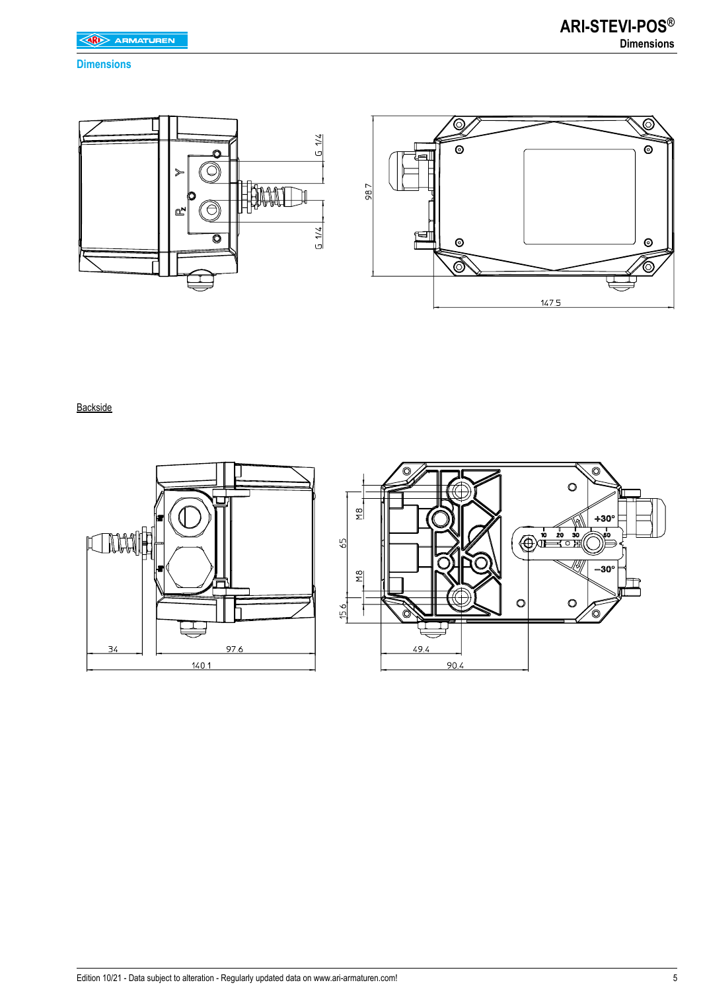## **Dimensions**



## **Backside**